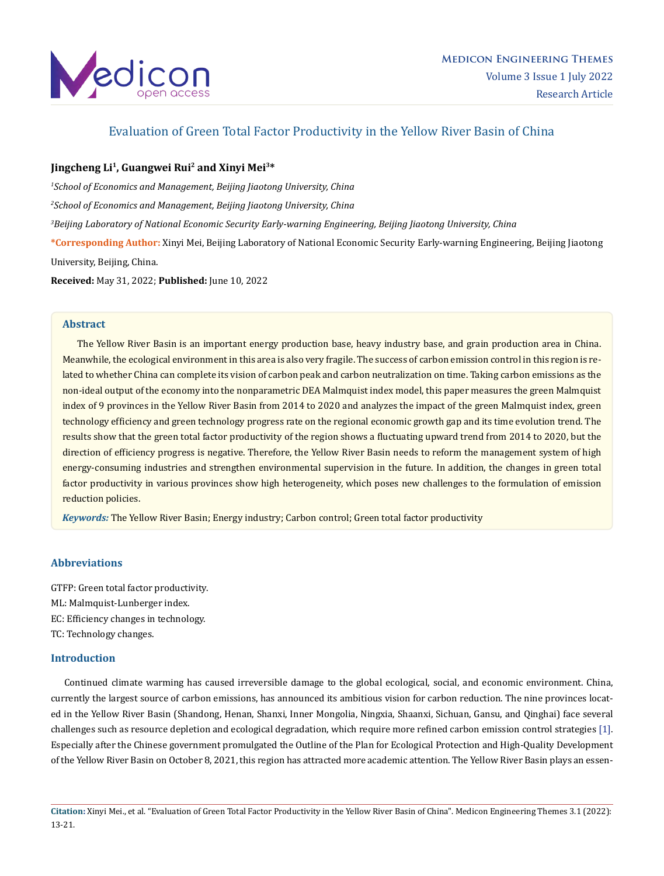

## Evaluation of Green Total Factor Productivity in the Yellow River Basin of China

## **Jingcheng Li1, Guangwei Rui2 and Xinyi Mei3\***

*1 School of Economics and Management, Beijing Jiaotong University, China* 

*2 School of Economics and Management, Beijing Jiaotong University, China*

*3 Beijing Laboratory of National Economic Security Early-warning Engineering, Beijing Jiaotong University, China*

**\*Corresponding Author:** Xinyi Mei, Beijing Laboratory of National Economic Security Early-warning Engineering, Beijing Jiaotong University, Beijing, China.

**Received:** May 31, 2022; **Published:** June 10, 2022

#### **Abstract**

 The Yellow River Basin is an important energy production base, heavy industry base, and grain production area in China. Meanwhile, the ecological environment in this area is also very fragile. The success of carbon emission control in this region is related to whether China can complete its vision of carbon peak and carbon neutralization on time. Taking carbon emissions as the non-ideal output of the economy into the nonparametric DEA Malmquist index model, this paper measures the green Malmquist index of 9 provinces in the Yellow River Basin from 2014 to 2020 and analyzes the impact of the green Malmquist index, green technology efficiency and green technology progress rate on the regional economic growth gap and its time evolution trend. The results show that the green total factor productivity of the region shows a fluctuating upward trend from 2014 to 2020, but the direction of efficiency progress is negative. Therefore, the Yellow River Basin needs to reform the management system of high energy-consuming industries and strengthen environmental supervision in the future. In addition, the changes in green total factor productivity in various provinces show high heterogeneity, which poses new challenges to the formulation of emission reduction policies.

*Keywords:* The Yellow River Basin; Energy industry; Carbon control; Green total factor productivity

## **Abbreviations**

GTFP: Green total factor productivity. ML: Malmquist-Lunberger index. EC: Efficiency changes in technology. TC: Technology changes.

### **Introduction**

 Continued climate warming has caused irreversible damage to the global ecological, social, and economic environment. China, currently the largest source of carbon emissions, has announced its ambitious vision for carbon reduction. The nine provinces located in the Yellow River Basin (Shandong, Henan, Shanxi, Inner Mongolia, Ningxia, Shaanxi, Sichuan, Gansu, and Qinghai) face several challenges such as resource depletion and ecological degradation, which require more refined carbon emission control strategies [1]. Especially after the Chinese government promulgated the Outline of the Plan for Ecological Protection and High-Quality Development of the Yellow River Basin on October 8, 2021, this region has attracted more academic attention. The Yellow River Basin plays an essen-

**Citation:** Xinyi Mei., et al. "Evaluation of Green Total Factor Productivity in the Yellow River Basin of China". Medicon Engineering Themes 3.1 (2022): 13-21.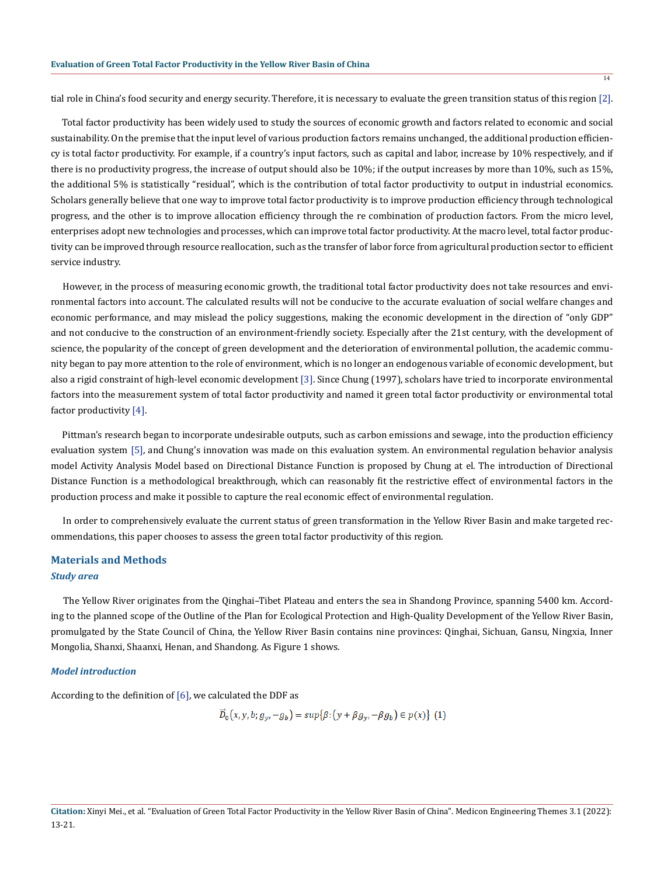tial role in China's food security and energy security. Therefore, it is necessary to evaluate the green transition status of this region [2].

 Total factor productivity has been widely used to study the sources of economic growth and factors related to economic and social sustainability. On the premise that the input level of various production factors remains unchanged, the additional production efficiency is total factor productivity. For example, if a country's input factors, such as capital and labor, increase by 10% respectively, and if there is no productivity progress, the increase of output should also be 10%; if the output increases by more than 10%, such as 15%, the additional 5% is statistically "residual", which is the contribution of total factor productivity to output in industrial economics. Scholars generally believe that one way to improve total factor productivity is to improve production efficiency through technological progress, and the other is to improve allocation efficiency through the re combination of production factors. From the micro level, enterprises adopt new technologies and processes, which can improve total factor productivity. At the macro level, total factor productivity can be improved through resource reallocation, such as the transfer of labor force from agricultural production sector to efficient service industry.

 However, in the process of measuring economic growth, the traditional total factor productivity does not take resources and environmental factors into account. The calculated results will not be conducive to the accurate evaluation of social welfare changes and economic performance, and may mislead the policy suggestions, making the economic development in the direction of "only GDP" and not conducive to the construction of an environment-friendly society. Especially after the 21st century, with the development of science, the popularity of the concept of green development and the deterioration of environmental pollution, the academic community began to pay more attention to the role of environment, which is no longer an endogenous variable of economic development, but also a rigid constraint of high-level economic development [3]. Since Chung (1997), scholars have tried to incorporate environmental factors into the measurement system of total factor productivity and named it green total factor productivity or environmental total factor productivity [4].

 Pittman's research began to incorporate undesirable outputs, such as carbon emissions and sewage, into the production efficiency evaluation system [5], and Chung's innovation was made on this evaluation system. An environmental regulation behavior analysis model Activity Analysis Model based on Directional Distance Function is proposed by Chung at el. The introduction of Directional Distance Function is a methodological breakthrough, which can reasonably fit the restrictive effect of environmental factors in the production process and make it possible to capture the real economic effect of environmental regulation.

 In order to comprehensively evaluate the current status of green transformation in the Yellow River Basin and make targeted recommendations, this paper chooses to assess the green total factor productivity of this region.

# **Materials and Methods**

## *Study area*

 The Yellow River originates from the Qinghai–Tibet Plateau and enters the sea in Shandong Province, spanning 5400 km. According to the planned scope of the Outline of the Plan for Ecological Protection and High-Quality Development of the Yellow River Basin, promulgated by the State Council of China, the Yellow River Basin contains nine provinces: Qinghai, Sichuan, Gansu, Ningxia, Inner Mongolia, Shanxi, Shaanxi, Henan, and Shandong. As Figure 1 shows.

#### *Model introduction*

According to the definition of  $[6]$ , we calculated the DDF as

$$
\overline{D}_0(x, y, b; g_y, -g_b) = \sup\{\beta: (y + \beta g_y, -\beta g_b) \in p(x)\} \tag{1}
$$

 $\overline{14}$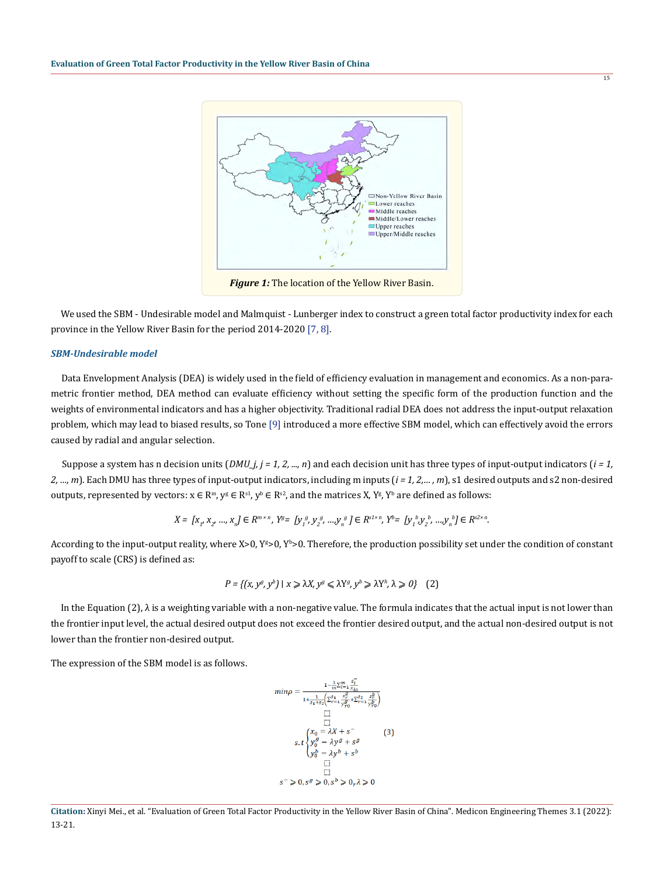

 We used the SBM - Undesirable model and Malmquist - Lunberger index to construct a green total factor productivity index for each province in the Yellow River Basin for the period 2014-2020 [7, 8].

#### *SBM-Undesirable model*

 Data Envelopment Analysis (DEA) is widely used in the field of efficiency evaluation in management and economics. As a non-parametric frontier method, DEA method can evaluate efficiency without setting the specific form of the production function and the weights of environmental indicators and has a higher objectivity. Traditional radial DEA does not address the input-output relaxation problem, which may lead to biased results, so Tone [9] introduced a more effective SBM model, which can effectively avoid the errors caused by radial and angular selection.

Suppose a system has n decision units  $(DMU_j, j = 1, 2, ..., n)$  and each decision unit has three types of input-output indicators  $(i = 1, 1)$ *2, …, m*). Each DMU has three types of input-output indicators, including m inputs (*i = 1, 2,… , m*), s1 desired outputs and s2 non-desired outputs, represented by vectors:  $x \in \mathbb{R}^m$ ,  $y^g \in \mathbb{R}^{s_1}$ ,  $y^b \in \mathbb{R}^{s_2}$ , and the matrices X,  $Y^g$ ,  $Y^b$  are defined as follows:

$$
X = \left[x_{1}, x_{2}, ..., x_{n}\right] \in R^{m \times n}, \ Y^g = \left[y_{1}^{g}, y_{2}^{g}, ..., y_{n}^{g}\right] \in R^{s1 \times n}, \ Y^b = \left[y_{1}^{b}, y_{2}^{b}, ..., y_{n}^{b}\right] \in R^{s2 \times n}.
$$

According to the input-output reality, where  $X>0$ ,  $Y^s>0$ ,  $Y^s>0$ . Therefore, the production possibility set under the condition of constant payoff to scale (CRS) is defined as:

$$
P = \{(x, y^g, y^b) \mid x \ge \lambda X, y^g \le \lambda Y^g, y^b \ge \lambda Y^h, \lambda \ge 0\} \quad (2)
$$

In the Equation (2),  $\lambda$  is a weighting variable with a non-negative value. The formula indicates that the actual input is not lower than the frontier input level, the actual desired output does not exceed the frontier desired output, and the actual non-desired output is not lower than the frontier non-desired output.

The expression of the SBM model is as follows.

$$
\begin{split} \min \rho = \frac{1-\frac{1}{m}\sum_{i=1}^{m}\frac{\bar{s_i}}{\bar{u}_a}}{1+\frac{1}{s_1+s_2}\left(\sum_{r=1}^{s_1}\frac{s_r^p}{\bar{s}_r^p}+\sum_{r=1}^{s_2}\frac{s_r^p}{\bar{s}_{r^0}^p}\right)} \\ \min \limits_{\text{min}} \\ s.t \begin{cases} x_0 = \lambda X+s \\ y_0^g = \lambda y^g+s^g \\ y_0^h = \lambda y^b+s^b \\ \text{min} \\ y_0^h = \lambda y^b+s^b \end{cases} \end{split} \quad \begin{split} \text{(3)} \\ \text{(3)} \\ \text{(4)} \\ \text{(5)} \\ \text{(6)} \\ \text{(7)} \\ \text{(8)} \\ \text{(9)} \\ \text{(9)} \\ \text{(9)} \\ \text{(9)} \\ \text{(9)} \\ \text{(9)} \\ \text{(9)} \\ \text{(9)} \\ \text{(1)} \\ \text{(1)} \\ \text{(1)} \\ \text{(1)} \\ \text{(1)} \\ \text{(1)} \\ \text{(1)} \\ \text{(1)} \\ \text{(1)} \\ \text{(1)} \\ \text{(1)} \\ \text{(1)} \\ \text{(1)} \\ \text{(1)} \\ \text{(1)} \\ \text{(1)} \\ \text{(1)} \\ \text{(1)} \\ \text{(1)} \\ \text{(1)} \\ \text{(1)} \\ \text{(1)} \\ \text{(1)} \\ \text{(1)} \\ \text{(1)} \\ \text{(1)} \\ \text{(1)} \\ \text{(1)} \\ \text{(1)} \\ \text{(1)} \\ \text{(1)} \\ \text{(1)} \\ \text{(1)} \\ \text{(1)} \\ \text{(1)} \\ \text{(1)} \\ \text{(1)} \\ \text{(1)} \\ \text{(1)} \\ \text{(1)} \\ \text{(1)} \\ \text{(1)} \\ \text{(1)} \\ \text{(1)} \\ \text{(1)} \\ \text{(1)} \\ \text{(1)} \\ \text{(1)} \\ \text{(1)} \\ \text{(1)} \\ \text{(1)} \\ \text{(1)} \\ \text{(1)} \\ \text{(1)} \\ \text{(1)} \\ \text{(1)} \\ \text{(1)} \\ \text{(1)} \\ \text{(1)} \\ \text{(1)} \\ \text{(1)} \\ \text{(1)} \\ \text{(1)} \\ \text{(1)} \\ \text{(1)} \\ \text{(1)} \\ \text{(1)} \\ \text{(1)} \\ \text{(1)} \\ \text{(1)} \\ \text{(1)} \\ \text{(1)} \\ \text{(1)} \\ \text{(1)} \\ \text{(1)} \\ \text{(1)} \\ \text{(1
$$

**Citation:** Xinyi Mei., et al. "Evaluation of Green Total Factor Productivity in the Yellow River Basin of China". Medicon Engineering Themes 3.1 (2022): 13-21.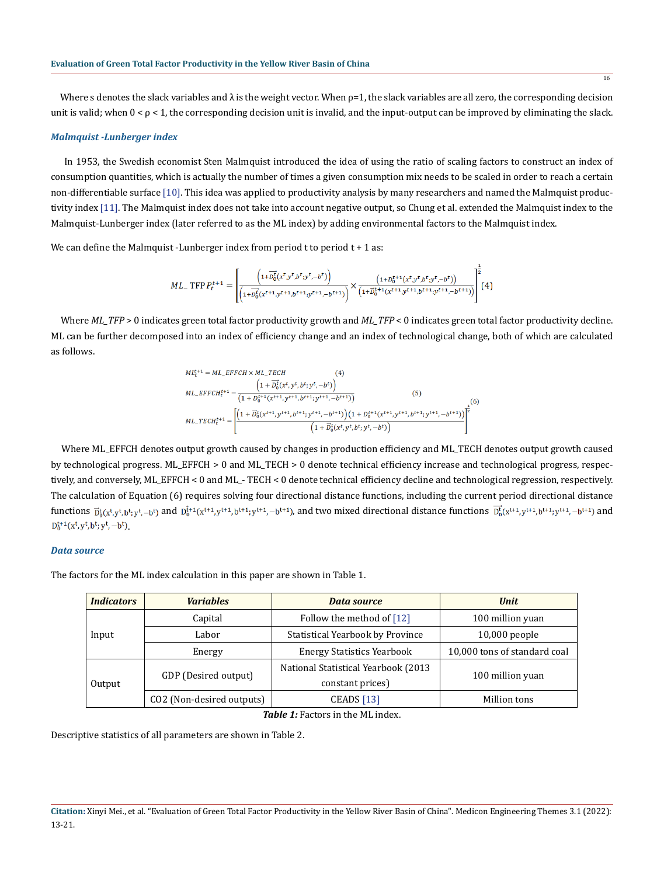Where s denotes the slack variables and  $\lambda$  is the weight vector. When  $p=1$ , the slack variables are all zero, the corresponding decision unit is valid; when  $0 < \rho < 1$ , the corresponding decision unit is invalid, and the input-output can be improved by eliminating the slack.

#### *Malmquist -Lunberger index*

 In 1953, the Swedish economist Sten Malmquist introduced the idea of using the ratio of scaling factors to construct an index of consumption quantities, which is actually the number of times a given consumption mix needs to be scaled in order to reach a certain non-differentiable surface [10]. This idea was applied to productivity analysis by many researchers and named the Malmquist productivity index [11]. The Malmquist index does not take into account negative output, so Chung et al. extended the Malmquist index to the Malmquist-Lunberger index (later referred to as the ML index) by adding environmental factors to the Malmquist index.

We can define the Malmquist -Lunberger index from period  $t$  to period  $t + 1$  as:

$$
ML_{-}\text{ TFP } P_t^{t+1} = \left[ \frac{\left(1 + \overrightarrow{D_0^t}(x^t, y^t, b^t, y^t, -b^t)\right)}{\left(1 + \overrightarrow{D_0^t}(x^{t+1}, y^{t+1}, b^{t+1}, y^{t+1}, -b^{t+1})\right)} \times \frac{\left(1 + \overrightarrow{D_0^{t+1}}(x^t, y^t, b^t, y^t, -b^t)\right)}{\left(1 + \overrightarrow{D_0^{t+1}}(x^{t+1}, y^{t+1}, b^{t+1}, y^{t+1}, -b^{t+1})\right)}\right]^2 (4)
$$

 $\mathbf{1}$ 

 Where *ML\_TFP* > 0 indicates green total factor productivity growth and *ML\_TFP* < 0 indicates green total factor productivity decline. ML can be further decomposed into an index of efficiency change and an index of technological change, both of which are calculated as follows.

$$
ML_{t}^{t+1} = ML_{t}EFFCH \times ML_{t}TECH
$$
\n
$$
ML_{t}^{t+1} = \frac{\left(1 + \overline{D}_{0}^{t}(x^{t}, y^{t}, b^{t}; y^{t}, -b^{t})\right)}{\left(1 + D_{0}^{t+1}(x^{t+1}, y^{t+1}, b^{t+1}; y^{t+1}, -b^{t+1})\right)}
$$
\n
$$
ML_{t}TECH_{t}^{t+1} = \left[\frac{\left(1 + \overline{D}_{0}^{t}(x^{t+1}, y^{t+1}, b^{t+1}; y^{t+1}, -b^{t+1})\right)\left(1 + D_{0}^{t+1}(x^{t+1}, y^{t+1}, b^{t+1}; y^{t+1}, -b^{t+1})\right)}{\left(1 + \overline{D}_{0}^{t}(x^{t}, y^{t}, b^{t}; y^{t}, -b^{t})\right)}\right]^{2}
$$
\n
$$
(1 + \overline{D}_{0}^{t}(x^{t}, y^{t}, b^{t}; y^{t}, -b^{t})
$$

 Where ML\_EFFCH denotes output growth caused by changes in production efficiency and ML\_TECH denotes output growth caused by technological progress. ML\_EFFCH > 0 and ML\_TECH > 0 denote technical efficiency increase and technological progress, respectively, and conversely, ML\_EFFCH < 0 and ML\_- TECH < 0 denote technical efficiency decline and technological regression, respectively. The calculation of Equation (6) requires solving four directional distance functions, including the current period directional distance functions  $\bar{p}_b^k(x^t, y^t, b^t; y^t, -b^t)$  and  $\bar{p}_b^{k+1}(x^{t+1}, y^{t+1}, b^{t+1}; y^{t+1}, -b^{t+1})$ , and two mixed directional distance functions  $\bar{p}_b^k(x^{t+1}, y^{t+1}, b^{t+1}; y^{t+1}, -b^{t+1})$  and  $D_0^{t+1}(x^t, y^t, b^t; y^t, -b^t)$ .

#### *Data source*

The factors for the ML index calculation in this paper are shown in Table 1.

| <i><u><b>Indicators</b></u></i> | <b>Variables</b>          | <b>Data source</b>                   | <b>Unit</b>                  |  |
|---------------------------------|---------------------------|--------------------------------------|------------------------------|--|
| Input                           | Capital                   | Follow the method of $[12]$          | 100 million yuan             |  |
|                                 | Labor                     | Statistical Yearbook by Province     | $10,000$ people              |  |
|                                 | Energy                    | <b>Energy Statistics Yearbook</b>    | 10,000 tons of standard coal |  |
| Output                          | GDP (Desired output)      | National Statistical Yearbook (2013) | 100 million yuan             |  |
|                                 |                           | constant prices)                     |                              |  |
|                                 | CO2 (Non-desired outputs) | <b>CEADS</b> [13]                    | Million tons                 |  |

*Table 1:* Factors in the ML index.

Descriptive statistics of all parameters are shown in Table 2.

**Citation:** Xinyi Mei., et al. "Evaluation of Green Total Factor Productivity in the Yellow River Basin of China". Medicon Engineering Themes 3.1 (2022): 13-21.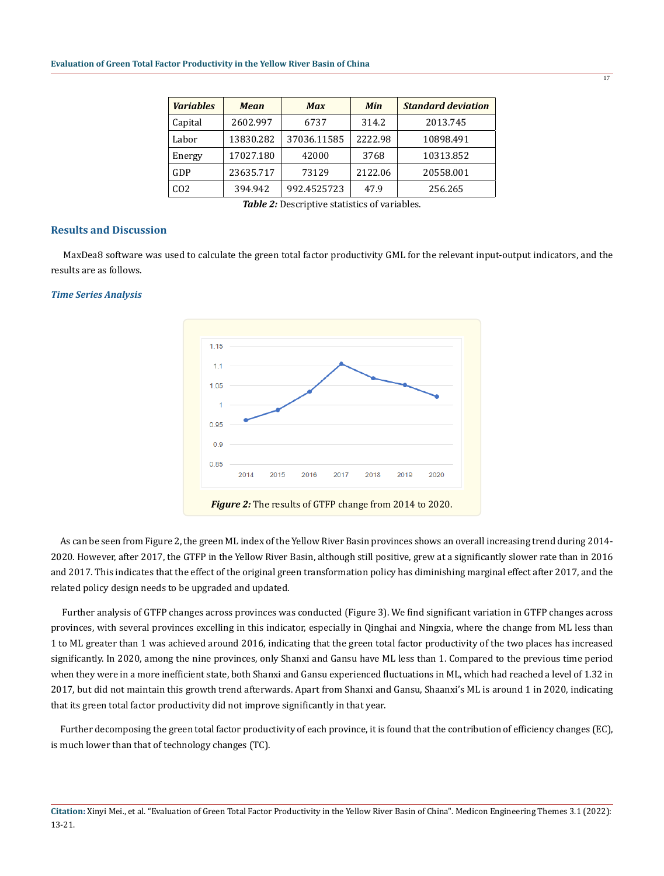| <b>Variables</b> | <b>Mean</b> | <b>Max</b>  | <b>Min</b> | <b>Standard deviation</b> |
|------------------|-------------|-------------|------------|---------------------------|
| Capital          | 2602.997    | 6737        | 314.2      | 2013.745                  |
| Labor            | 13830.282   | 37036.11585 | 2222.98    | 10898.491                 |
| Energy           | 17027.180   | 42000       | 3768       | 10313.852                 |
| GDP              | 23635.717   | 73129       | 2122.06    | 20558.001                 |
| CO <sub>2</sub>  | 394.942     | 992.4525723 | 47.9       | 256.265                   |

*Table 2:* Descriptive statistics of variables.

#### **Results and Discussion**

 MaxDea8 software was used to calculate the green total factor productivity GML for the relevant input-output indicators, and the results are as follows.

#### *Time Series Analysis*



 As can be seen from Figure 2, the green ML index of the Yellow River Basin provinces shows an overall increasing trend during 2014- 2020. However, after 2017, the GTFP in the Yellow River Basin, although still positive, grew at a significantly slower rate than in 2016 and 2017. This indicates that the effect of the original green transformation policy has diminishing marginal effect after 2017, and the related policy design needs to be upgraded and updated.

 Further analysis of GTFP changes across provinces was conducted (Figure 3). We find significant variation in GTFP changes across provinces, with several provinces excelling in this indicator, especially in Qinghai and Ningxia, where the change from ML less than 1 to ML greater than 1 was achieved around 2016, indicating that the green total factor productivity of the two places has increased significantly. In 2020, among the nine provinces, only Shanxi and Gansu have ML less than 1. Compared to the previous time period when they were in a more inefficient state, both Shanxi and Gansu experienced fluctuations in ML, which had reached a level of 1.32 in 2017, but did not maintain this growth trend afterwards. Apart from Shanxi and Gansu, Shaanxi's ML is around 1 in 2020, indicating that its green total factor productivity did not improve significantly in that year.

 Further decomposing the green total factor productivity of each province, it is found that the contribution of efficiency changes (EC), is much lower than that of technology changes (TC).

**Citation:** Xinyi Mei., et al. "Evaluation of Green Total Factor Productivity in the Yellow River Basin of China". Medicon Engineering Themes 3.1 (2022): 13-21.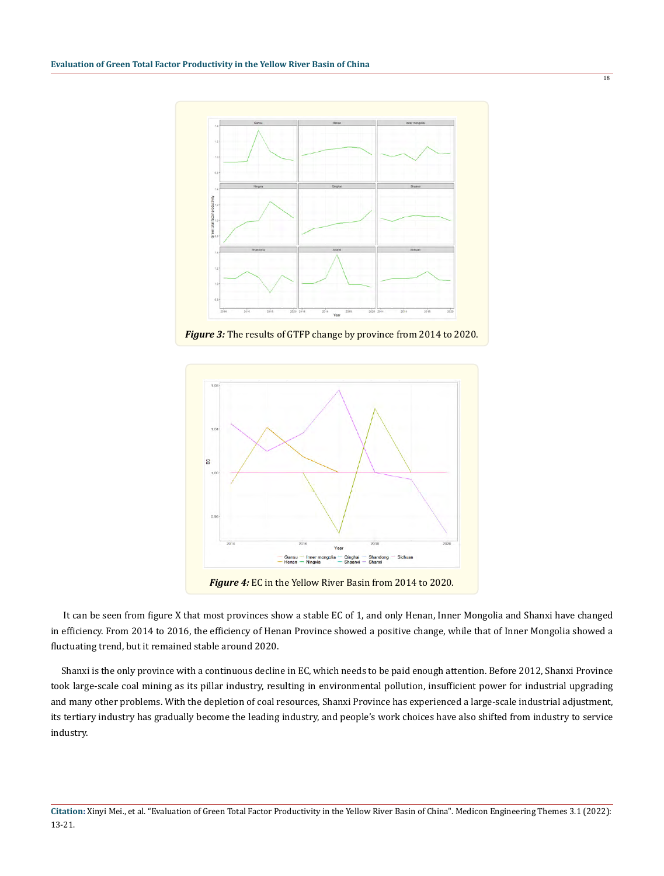

*Figure 3:* The results of GTFP change by province from 2014 to 2020.



 It can be seen from figure X that most provinces show a stable EC of 1, and only Henan, Inner Mongolia and Shanxi have changed in efficiency. From 2014 to 2016, the efficiency of Henan Province showed a positive change, while that of Inner Mongolia showed a

fluctuating trend, but it remained stable around 2020.

 Shanxi is the only province with a continuous decline in EC, which needs to be paid enough attention. Before 2012, Shanxi Province took large-scale coal mining as its pillar industry, resulting in environmental pollution, insufficient power for industrial upgrading and many other problems. With the depletion of coal resources, Shanxi Province has experienced a large-scale industrial adjustment, its tertiary industry has gradually become the leading industry, and people's work choices have also shifted from industry to service industry.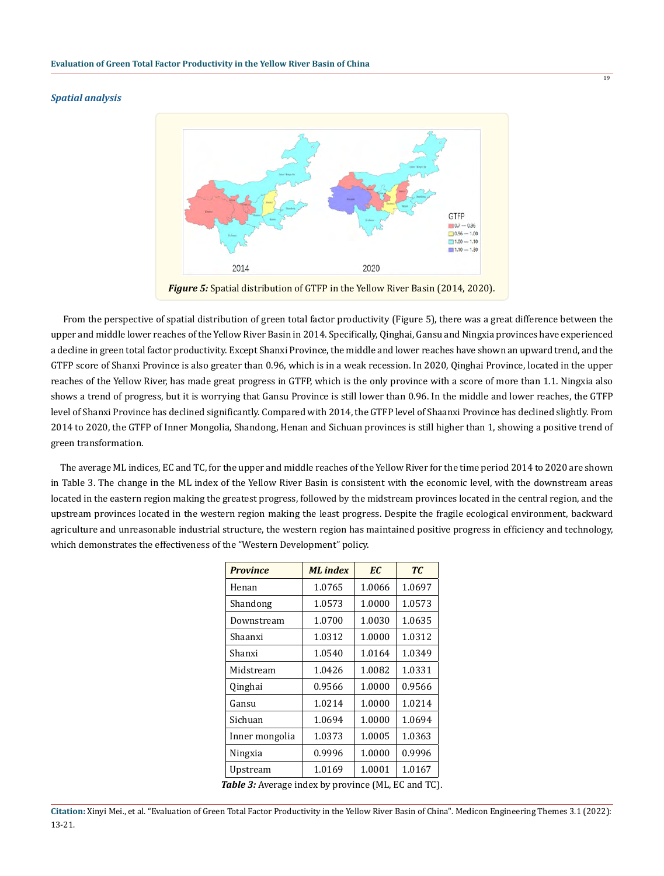#### *Spatial analysis*



19

*Figure 5:* Spatial distribution of GTFP in the Yellow River Basin (2014, 2020).

 From the perspective of spatial distribution of green total factor productivity (Figure 5), there was a great difference between the upper and middle lower reaches of the Yellow River Basin in 2014. Specifically, Qinghai, Gansu and Ningxia provinces have experienced a decline in green total factor productivity. Except Shanxi Province, the middle and lower reaches have shown an upward trend, and the GTFP score of Shanxi Province is also greater than 0.96, which is in a weak recession. In 2020, Qinghai Province, located in the upper reaches of the Yellow River, has made great progress in GTFP, which is the only province with a score of more than 1.1. Ningxia also shows a trend of progress, but it is worrying that Gansu Province is still lower than 0.96. In the middle and lower reaches, the GTFP level of Shanxi Province has declined significantly. Compared with 2014, the GTFP level of Shaanxi Province has declined slightly. From 2014 to 2020, the GTFP of Inner Mongolia, Shandong, Henan and Sichuan provinces is still higher than 1, showing a positive trend of green transformation.

 The average ML indices, EC and TC, for the upper and middle reaches of the Yellow River for the time period 2014 to 2020 are shown in Table 3. The change in the ML index of the Yellow River Basin is consistent with the economic level, with the downstream areas located in the eastern region making the greatest progress, followed by the midstream provinces located in the central region, and the upstream provinces located in the western region making the least progress. Despite the fragile ecological environment, backward agriculture and unreasonable industrial structure, the western region has maintained positive progress in efficiency and technology, which demonstrates the effectiveness of the "Western Development" policy.

| <b>Province</b> | <b>ML</b> index | EC     | TC <sub>1</sub> |
|-----------------|-----------------|--------|-----------------|
| Henan           | 1.0765          | 1.0066 | 1.0697          |
| Shandong        | 1.0573          | 1.0000 | 1.0573          |
| Downstream      | 1.0700          | 1.0030 | 1.0635          |
| Shaanxi         | 1.0312          | 1.0000 | 1.0312          |
| Shanxi          | 1.0540          | 1.0164 | 1.0349          |
| Midstream       | 1.0426          | 1.0082 | 1.0331          |
| Qinghai         | 0.9566          | 1.0000 | 0.9566          |
| Gansu           | 1.0214          | 1.0000 | 1.0214          |
| Sichuan         | 1.0694          | 1.0000 | 1.0694          |
| Inner mongolia  | 1.0373          | 1.0005 | 1.0363          |
| Ningxia         | 0.9996          | 1.0000 | 0.9996          |
| Upstream        | 1.0169          | 1.0001 | 1.0167          |

*Table 3:* Average index by province (ML, EC and TC).

**Citation:** Xinyi Mei., et al. "Evaluation of Green Total Factor Productivity in the Yellow River Basin of China". Medicon Engineering Themes 3.1 (2022): 13-21.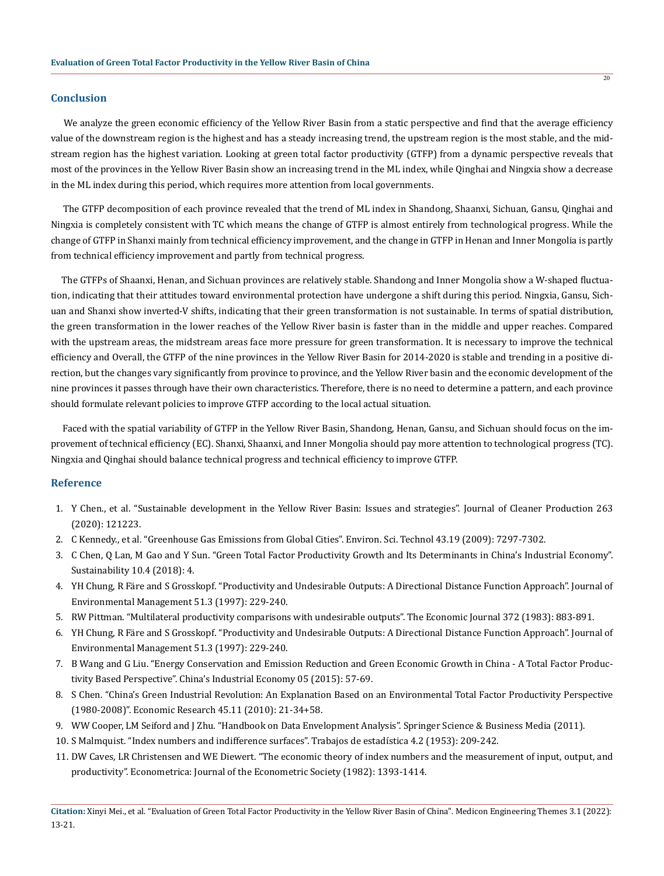#### **Conclusion**

 We analyze the green economic efficiency of the Yellow River Basin from a static perspective and find that the average efficiency value of the downstream region is the highest and has a steady increasing trend, the upstream region is the most stable, and the midstream region has the highest variation. Looking at green total factor productivity (GTFP) from a dynamic perspective reveals that most of the provinces in the Yellow River Basin show an increasing trend in the ML index, while Qinghai and Ningxia show a decrease in the ML index during this period, which requires more attention from local governments.

 The GTFP decomposition of each province revealed that the trend of ML index in Shandong, Shaanxi, Sichuan, Gansu, Qinghai and Ningxia is completely consistent with TC which means the change of GTFP is almost entirely from technological progress. While the change of GTFP in Shanxi mainly from technical efficiency improvement, and the change in GTFP in Henan and Inner Mongolia is partly from technical efficiency improvement and partly from technical progress.

 The GTFPs of Shaanxi, Henan, and Sichuan provinces are relatively stable. Shandong and Inner Mongolia show a W-shaped fluctuation, indicating that their attitudes toward environmental protection have undergone a shift during this period. Ningxia, Gansu, Sichuan and Shanxi show inverted-V shifts, indicating that their green transformation is not sustainable. In terms of spatial distribution, the green transformation in the lower reaches of the Yellow River basin is faster than in the middle and upper reaches. Compared with the upstream areas, the midstream areas face more pressure for green transformation. It is necessary to improve the technical efficiency and Overall, the GTFP of the nine provinces in the Yellow River Basin for 2014-2020 is stable and trending in a positive direction, but the changes vary significantly from province to province, and the Yellow River basin and the economic development of the nine provinces it passes through have their own characteristics. Therefore, there is no need to determine a pattern, and each province should formulate relevant policies to improve GTFP according to the local actual situation.

 Faced with the spatial variability of GTFP in the Yellow River Basin, Shandong, Henan, Gansu, and Sichuan should focus on the improvement of technical efficiency (EC). Shanxi, Shaanxi, and Inner Mongolia should pay more attention to technological progress (TC). Ningxia and Qinghai should balance technical progress and technical efficiency to improve GTFP.

#### **Reference**

- 1. Y Chen., et al. "Sustainable development in the Yellow River Basin: Issues and strategies". Journal of Cleaner Production 263 (2020): 121223.
- 2. C Kennedy., et al. "Greenhouse Gas Emissions from Global Cities". Environ. Sci. Technol 43.19 (2009): 7297-7302.
- 3. C Chen, Q Lan, M Gao and Y Sun. "Green Total Factor Productivity Growth and Its Determinants in China's Industrial Economy". Sustainability 10.4 (2018): 4.
- 4. YH Chung, R Färe and S Grosskopf. "Productivity and Undesirable Outputs: A Directional Distance Function Approach". Journal of Environmental Management 51.3 (1997): 229-240.
- 5. RW Pittman. "Multilateral productivity comparisons with undesirable outputs". The Economic Journal 372 (1983): 883-891.
- 6. YH Chung, R Färe and S Grosskopf. "Productivity and Undesirable Outputs: A Directional Distance Function Approach". Journal of Environmental Management 51.3 (1997): 229-240.
- 7. B Wang and G Liu. "Energy Conservation and Emission Reduction and Green Economic Growth in China A Total Factor Productivity Based Perspective". China's Industrial Economy 05 (2015): 57-69.
- 8. S Chen. "China's Green Industrial Revolution: An Explanation Based on an Environmental Total Factor Productivity Perspective (1980-2008)". Economic Research 45.11 (2010): 21-34+58.
- 9. WW Cooper, LM Seiford and J Zhu. "Handbook on Data Envelopment Analysis". Springer Science & Business Media (2011).
- 10. S Malmquist. "Index numbers and indifference surfaces". Trabajos de estadística 4.2 (1953): 209-242.
- 11. DW Caves, LR Christensen and WE Diewert. "The economic theory of index numbers and the measurement of input, output, and productivity". Econometrica: Journal of the Econometric Society (1982): 1393-1414.

**Citation:** Xinyi Mei., et al. "Evaluation of Green Total Factor Productivity in the Yellow River Basin of China". Medicon Engineering Themes 3.1 (2022): 13-21.

 $\overline{20}$